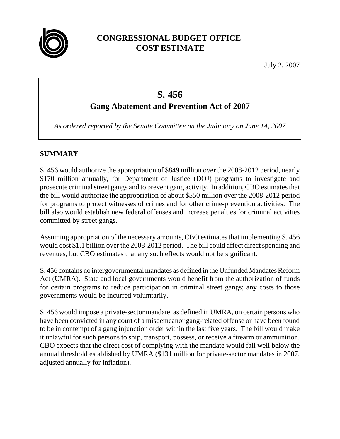

## **CONGRESSIONAL BUDGET OFFICE COST ESTIMATE**

July 2, 2007

# **S. 456**

## **Gang Abatement and Prevention Act of 2007**

*As ordered reported by the Senate Committee on the Judiciary on June 14, 2007*

### **SUMMARY**

S. 456 would authorize the appropriation of \$849 million over the 2008-2012 period, nearly \$170 million annually, for Department of Justice (DOJ) programs to investigate and prosecute criminal street gangs and to prevent gang activity. In addition, CBO estimates that the bill would authorize the appropriation of about \$550 million over the 2008-2012 period for programs to protect witnesses of crimes and for other crime-prevention activities. The bill also would establish new federal offenses and increase penalties for criminal activities committed by street gangs.

Assuming appropriation of the necessary amounts, CBO estimates that implementing S. 456 would cost \$1.1 billion over the 2008-2012 period. The bill could affect direct spending and revenues, but CBO estimates that any such effects would not be significant.

S. 456 contains no intergovernmental mandates as defined in the Unfunded Mandates Reform Act (UMRA). State and local governments would benefit from the authorization of funds for certain programs to reduce participation in criminal street gangs; any costs to those governments would be incurred volumtarily.

S. 456 would impose a private-sector mandate, as defined in UMRA, on certain persons who have been convicted in any court of a misdemeanor gang-related offense or have been found to be in contempt of a gang injunction order within the last five years. The bill would make it unlawful for such persons to ship, transport, possess, or receive a firearm or ammunition. CBO expects that the direct cost of complying with the mandate would fall well below the annual threshold established by UMRA (\$131 million for private-sector mandates in 2007, adjusted annually for inflation).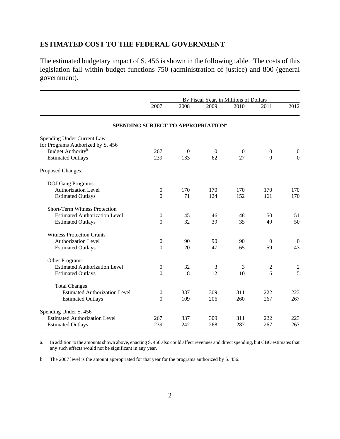#### **ESTIMATED COST TO THE FEDERAL GOVERNMENT**

The estimated budgetary impact of S. 456 is shown in the following table. The costs of this legislation fall within budget functions 750 (administration of justice) and 800 (general government).

|                                      | By Fiscal Year, in Millions of Dollars         |          |          |              |                  |                  |
|--------------------------------------|------------------------------------------------|----------|----------|--------------|------------------|------------------|
|                                      | 2007                                           | 2008     | 2009     | 2010         | 2011             | 2012             |
|                                      | SPENDING SUBJECT TO APPROPRIATION <sup>a</sup> |          |          |              |                  |                  |
| Spending Under Current Law           |                                                |          |          |              |                  |                  |
| for Programs Authorized by S. 456    |                                                |          |          |              |                  |                  |
| Budget Authority <sup>b</sup>        | 267                                            | $\theta$ | $\theta$ | $\mathbf{0}$ | $\boldsymbol{0}$ | $\boldsymbol{0}$ |
| <b>Estimated Outlays</b>             | 239                                            | 133      | 62       | 27           | $\overline{0}$   | $\overline{0}$   |
| Proposed Changes:                    |                                                |          |          |              |                  |                  |
| <b>DOJ</b> Gang Programs             |                                                |          |          |              |                  |                  |
| Authorization Level                  | $\theta$                                       | 170      | 170      | 170          | 170              | 170              |
| <b>Estimated Outlays</b>             | $\overline{0}$                                 | 71       | 124      | 152          | 161              | 170              |
| <b>Short-Term Witness Protection</b> |                                                |          |          |              |                  |                  |
| <b>Estimated Authorization Level</b> | $\theta$                                       | 45       | 46       | 48           | 50               | 51               |
| <b>Estimated Outlays</b>             | $\Omega$                                       | 32       | 39       | 35           | 49               | 50               |
| <b>Witness Protection Grants</b>     |                                                |          |          |              |                  |                  |
| <b>Authorization Level</b>           | $\mathbf{0}$                                   | 90       | 90       | 90           | $\Omega$         | $\overline{0}$   |
| <b>Estimated Outlays</b>             | $\Omega$                                       | 20       | 47       | 65           | 59               | 43               |
| Other Programs                       |                                                |          |          |              |                  |                  |
| <b>Estimated Authorization Level</b> | $\mathbf{0}$                                   | 32       | 3        | 3            | 2                | $\frac{2}{5}$    |
| <b>Estimated Outlays</b>             | $\overline{0}$                                 | 8        | 12       | 10           | 6                |                  |
| <b>Total Changes</b>                 |                                                |          |          |              |                  |                  |
| <b>Estimated Authorization Level</b> | $\theta$                                       | 337      | 309      | 311          | 222              | 223              |
| <b>Estimated Outlays</b>             | $\Omega$                                       | 109      | 206      | 260          | 267              | 267              |
| Spending Under S. 456                |                                                |          |          |              |                  |                  |
| <b>Estimated Authorization Level</b> | 267                                            | 337      | 309      | 311          | 222              | 223              |
| <b>Estimated Outlays</b>             | 239                                            | 242      | 268      | 287          | 267              | 267              |

a. In addition to the amounts shown above, enacting S. 456 also could affect revenues and direct spending, but CBO estimates that any such effects would not be significant in any year.

b. The 2007 level is the amount appropriated for that year for the programs authorized by S. 456.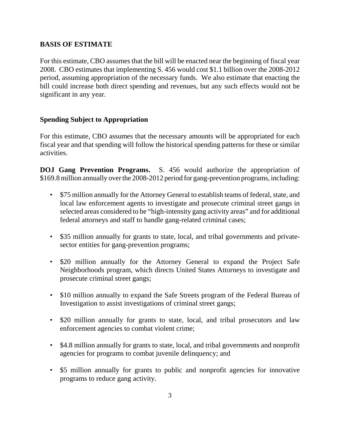#### **BASIS OF ESTIMATE**

For this estimate, CBO assumes that the bill will be enacted near the beginning of fiscal year 2008. CBO estimates that implementing S. 456 would cost \$1.1 billion over the 2008-2012 period, assuming appropriation of the necessary funds. We also estimate that enacting the bill could increase both direct spending and revenues, but any such effects would not be significant in any year.

#### **Spending Subject to Appropriation**

For this estimate, CBO assumes that the necessary amounts will be appropriated for each fiscal year and that spending will follow the historical spending patterns for these or similar activities.

**DOJ Gang Prevention Programs.** S. 456 would authorize the appropriation of \$169.8 million annually over the 2008-2012 period for gang-prevention programs, including:

- \$75 million annually for the Attorney General to establish teams of federal, state, and local law enforcement agents to investigate and prosecute criminal street gangs in selected areas considered to be "high-intensity gang activity areas" and for additional federal attorneys and staff to handle gang-related criminal cases;
- \$35 million annually for grants to state, local, and tribal governments and privatesector entities for gang-prevention programs;
- \$20 million annually for the Attorney General to expand the Project Safe Neighborhoods program, which directs United States Attorneys to investigate and prosecute criminal street gangs;
- \$10 million annually to expand the Safe Streets program of the Federal Bureau of Investigation to assist investigations of criminal street gangs;
- \$20 million annually for grants to state, local, and tribal prosecutors and law enforcement agencies to combat violent crime;
- \$4.8 million annually for grants to state, local, and tribal governments and nonprofit agencies for programs to combat juvenile delinquency; and
- \$5 million annually for grants to public and nonprofit agencies for innovative programs to reduce gang activity.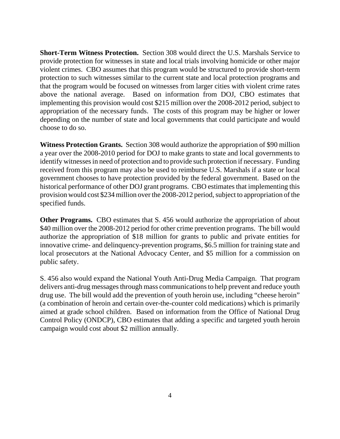**Short-Term Witness Protection.** Section 308 would direct the U.S. Marshals Service to provide protection for witnesses in state and local trials involving homicide or other major violent crimes. CBO assumes that this program would be structured to provide short-term protection to such witnesses similar to the current state and local protection programs and that the program would be focused on witnesses from larger cities with violent crime rates above the national average. Based on information from DOJ, CBO estimates that implementing this provision would cost \$215 million over the 2008-2012 period, subject to appropriation of the necessary funds. The costs of this program may be higher or lower depending on the number of state and local governments that could participate and would choose to do so.

**Witness Protection Grants.** Section 308 would authorize the appropriation of \$90 million a year over the 2008-2010 period for DOJ to make grants to state and local governments to identify witnesses in need of protection and to provide such protection if necessary. Funding received from this program may also be used to reimburse U.S. Marshals if a state or local government chooses to have protection provided by the federal government. Based on the historical performance of other DOJ grant programs. CBO estimates that implementing this provision would cost \$234 million over the 2008-2012 period, subject to appropriation of the specified funds.

**Other Programs.** CBO estimates that S. 456 would authorize the appropriation of about \$40 million over the 2008-2012 period for other crime prevention programs. The bill would authorize the appropriation of \$18 million for grants to public and private entities for innovative crime- and delinquency-prevention programs, \$6.5 million for training state and local prosecutors at the National Advocacy Center, and \$5 million for a commission on public safety.

S. 456 also would expand the National Youth Anti-Drug Media Campaign. That program delivers anti-drug messages through mass communications to help prevent and reduce youth drug use. The bill would add the prevention of youth heroin use, including "cheese heroin" (a combination of heroin and certain over-the-counter cold medications) which is primarily aimed at grade school children. Based on information from the Office of National Drug Control Policy (ONDCP), CBO estimates that adding a specific and targeted youth heroin campaign would cost about \$2 million annually.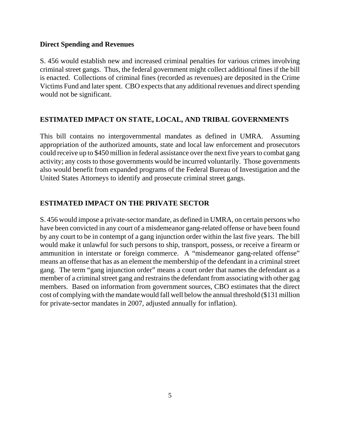#### **Direct Spending and Revenues**

S. 456 would establish new and increased criminal penalties for various crimes involving criminal street gangs. Thus, the federal government might collect additional fines if the bill is enacted. Collections of criminal fines (recorded as revenues) are deposited in the Crime Victims Fund and later spent. CBO expects that any additional revenues and direct spending would not be significant.

#### **ESTIMATED IMPACT ON STATE, LOCAL, AND TRIBAL GOVERNMENTS**

This bill contains no intergovernmental mandates as defined in UMRA. Assuming appropriation of the authorized amounts, state and local law enforcement and prosecutors could receive up to \$450 million in federal assistance over the next five years to combat gang activity; any costs to those governments would be incurred voluntarily. Those governments also would benefit from expanded programs of the Federal Bureau of Investigation and the United States Attorneys to identify and prosecute criminal street gangs.

#### **ESTIMATED IMPACT ON THE PRIVATE SECTOR**

S. 456 would impose a private-sector mandate, as defined in UMRA, on certain persons who have been convicted in any court of a misdemeanor gang-related offense or have been found by any court to be in contempt of a gang injunction order within the last five years. The bill would make it unlawful for such persons to ship, transport, possess, or receive a firearm or ammunition in interstate or foreign commerce. A "misdemeanor gang-related offense" means an offense that has as an element the membership of the defendant in a criminal street gang. The term "gang injunction order" means a court order that names the defendant as a member of a criminal street gang and restrains the defendant from associating with other gag members. Based on information from government sources, CBO estimates that the direct cost of complying with the mandate would fall well below the annual threshold (\$131 million for private-sector mandates in 2007, adjusted annually for inflation).